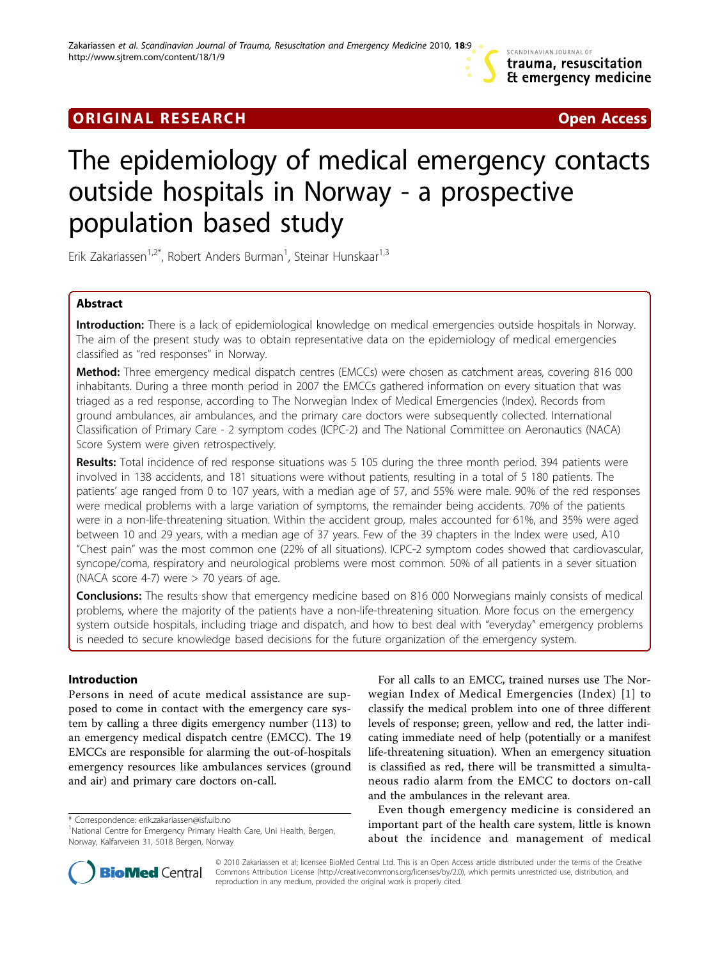# **ORIGINAL RESEARCH CONSUMING ACCESS**



# The epidemiology of medical emergency contacts outside hospitals in Norway - a prospective population based study

Erik Zakariassen<sup>1,2\*</sup>, Robert Anders Burman<sup>1</sup>, Steinar Hunskaar<sup>1,3</sup>

# Abstract

Introduction: There is a lack of epidemiological knowledge on medical emergencies outside hospitals in Norway. The aim of the present study was to obtain representative data on the epidemiology of medical emergencies classified as "red responses" in Norway.

Method: Three emergency medical dispatch centres (EMCCs) were chosen as catchment areas, covering 816 000 inhabitants. During a three month period in 2007 the EMCCs gathered information on every situation that was triaged as a red response, according to The Norwegian Index of Medical Emergencies (Index). Records from ground ambulances, air ambulances, and the primary care doctors were subsequently collected. International Classification of Primary Care - 2 symptom codes (ICPC-2) and The National Committee on Aeronautics (NACA) Score System were given retrospectively.

Results: Total incidence of red response situations was 5 105 during the three month period. 394 patients were involved in 138 accidents, and 181 situations were without patients, resulting in a total of 5 180 patients. The patients' age ranged from 0 to 107 years, with a median age of 57, and 55% were male. 90% of the red responses were medical problems with a large variation of symptoms, the remainder being accidents. 70% of the patients were in a non-life-threatening situation. Within the accident group, males accounted for 61%, and 35% were aged between 10 and 29 years, with a median age of 37 years. Few of the 39 chapters in the Index were used, A10 "Chest pain" was the most common one (22% of all situations). ICPC-2 symptom codes showed that cardiovascular, syncope/coma, respiratory and neurological problems were most common. 50% of all patients in a sever situation (NACA score 4-7) were  $>$  70 years of age.

Conclusions: The results show that emergency medicine based on 816 000 Norwegians mainly consists of medical problems, where the majority of the patients have a non-life-threatening situation. More focus on the emergency system outside hospitals, including triage and dispatch, and how to best deal with "everyday" emergency problems is needed to secure knowledge based decisions for the future organization of the emergency system.

# Introduction

Persons in need of acute medical assistance are supposed to come in contact with the emergency care system by calling a three digits emergency number (113) to an emergency medical dispatch centre (EMCC). The 19 EMCCs are responsible for alarming the out-of-hospitals emergency resources like ambulances services (ground and air) and primary care doctors on-call.

\* Correspondence: [erik.zakariassen@isf.uib.no](mailto:erik.zakariassen@isf.uib.no)

For all calls to an EMCC, trained nurses use The Norwegian Index of Medical Emergencies (Index) [\[1\]](#page-8-0) to classify the medical problem into one of three different levels of response; green, yellow and red, the latter indicating immediate need of help (potentially or a manifest life-threatening situation). When an emergency situation is classified as red, there will be transmitted a simultaneous radio alarm from the EMCC to doctors on-call and the ambulances in the relevant area.

Even though emergency medicine is considered an important part of the health care system, little is known about the incidence and management of medical



© 2010 Zakariassen et al; licensee BioMed Central Ltd. This is an Open Access article distributed under the terms of the Creative Commons Attribution License [\(http://creativecommons.org/licenses/by/2.0](http://creativecommons.org/licenses/by/2.0)), which permits unrestricted use, distribution, and reproduction in any medium, provided the original work is properly cited.

<sup>&</sup>lt;sup>1</sup>National Centre for Emergency Primary Health Care, Uni Health, Bergen, Norway, Kalfarveien 31, 5018 Bergen, Norway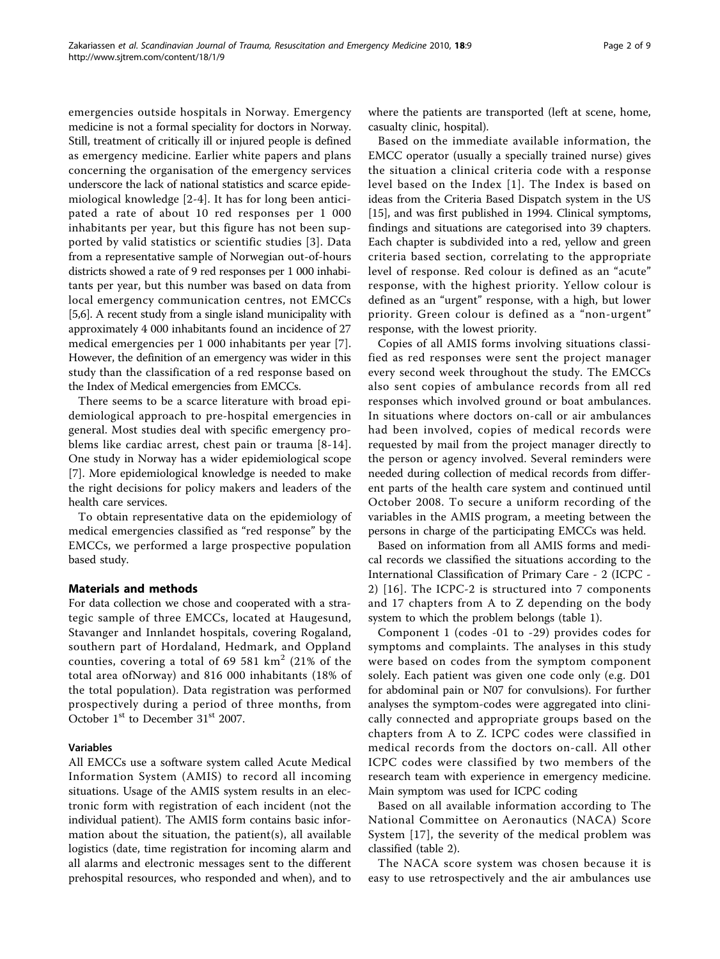emergencies outside hospitals in Norway. Emergency medicine is not a formal speciality for doctors in Norway. Still, treatment of critically ill or injured people is defined as emergency medicine. Earlier white papers and plans concerning the organisation of the emergency services underscore the lack of national statistics and scarce epidemiological knowledge [[2-4\]](#page-8-0). It has for long been anticipated a rate of about 10 red responses per 1 000 inhabitants per year, but this figure has not been supported by valid statistics or scientific studies [[3\]](#page-8-0). Data from a representative sample of Norwegian out-of-hours districts showed a rate of 9 red responses per 1 000 inhabitants per year, but this number was based on data from local emergency communication centres, not EMCCs [[5,6](#page-8-0)]. A recent study from a single island municipality with approximately 4 000 inhabitants found an incidence of 27 medical emergencies per 1 000 inhabitants per year [[7](#page-8-0)]. However, the definition of an emergency was wider in this study than the classification of a red response based on the Index of Medical emergencies from EMCCs.

There seems to be a scarce literature with broad epidemiological approach to pre-hospital emergencies in general. Most studies deal with specific emergency problems like cardiac arrest, chest pain or trauma [[8-14](#page-8-0)]. One study in Norway has a wider epidemiological scope [[7\]](#page-8-0). More epidemiological knowledge is needed to make the right decisions for policy makers and leaders of the health care services.

To obtain representative data on the epidemiology of medical emergencies classified as "red response" by the EMCCs, we performed a large prospective population based study.

# Materials and methods

For data collection we chose and cooperated with a strategic sample of three EMCCs, located at Haugesund, Stavanger and Innlandet hospitals, covering Rogaland, southern part of Hordaland, Hedmark, and Oppland counties, covering a total of 69 581  $km^2$  (21% of the total area ofNorway) and 816 000 inhabitants (18% of the total population). Data registration was performed prospectively during a period of three months, from October 1<sup>st</sup> to December 31<sup>st</sup> 2007.

# Variables

All EMCCs use a software system called Acute Medical Information System (AMIS) to record all incoming situations. Usage of the AMIS system results in an electronic form with registration of each incident (not the individual patient). The AMIS form contains basic information about the situation, the patient(s), all available logistics (date, time registration for incoming alarm and all alarms and electronic messages sent to the different prehospital resources, who responded and when), and to where the patients are transported (left at scene, home, casualty clinic, hospital).

Based on the immediate available information, the EMCC operator (usually a specially trained nurse) gives the situation a clinical criteria code with a response level based on the Index [[1](#page-8-0)]. The Index is based on ideas from the Criteria Based Dispatch system in the US [[15\]](#page-8-0), and was first published in 1994. Clinical symptoms, findings and situations are categorised into 39 chapters. Each chapter is subdivided into a red, yellow and green criteria based section, correlating to the appropriate level of response. Red colour is defined as an "acute" response, with the highest priority. Yellow colour is defined as an "urgent" response, with a high, but lower priority. Green colour is defined as a "non-urgent" response, with the lowest priority.

Copies of all AMIS forms involving situations classified as red responses were sent the project manager every second week throughout the study. The EMCCs also sent copies of ambulance records from all red responses which involved ground or boat ambulances. In situations where doctors on-call or air ambulances had been involved, copies of medical records were requested by mail from the project manager directly to the person or agency involved. Several reminders were needed during collection of medical records from different parts of the health care system and continued until October 2008. To secure a uniform recording of the variables in the AMIS program, a meeting between the persons in charge of the participating EMCCs was held.

Based on information from all AMIS forms and medical records we classified the situations according to the International Classification of Primary Care - 2 (ICPC - 2) [\[16\]](#page-8-0). The ICPC-2 is structured into 7 components and 17 chapters from A to Z depending on the body system to which the problem belongs (table [1\)](#page-2-0).

Component 1 (codes -01 to -29) provides codes for symptoms and complaints. The analyses in this study were based on codes from the symptom component solely. Each patient was given one code only (e.g. D01 for abdominal pain or N07 for convulsions). For further analyses the symptom-codes were aggregated into clinically connected and appropriate groups based on the chapters from A to Z. ICPC codes were classified in medical records from the doctors on-call. All other ICPC codes were classified by two members of the research team with experience in emergency medicine. Main symptom was used for ICPC coding

Based on all available information according to The National Committee on Aeronautics (NACA) Score System [\[17\]](#page-8-0), the severity of the medical problem was classified (table [2](#page-2-0)).

The NACA score system was chosen because it is easy to use retrospectively and the air ambulances use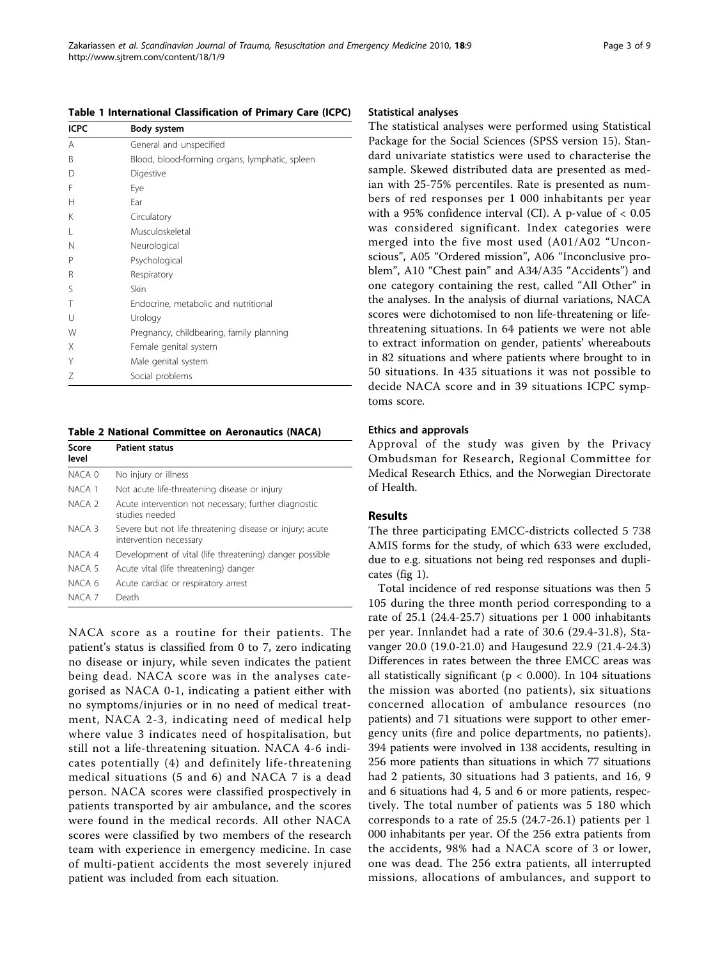| <b>ICPC</b> | Body system                                    |
|-------------|------------------------------------------------|
| A           | General and unspecified                        |
| B           | Blood, blood-forming organs, lymphatic, spleen |
| D           | Digestive                                      |
| F           | Eye                                            |
| Н           | Ear                                            |
| K           | Circulatory                                    |
| L           | Musculoskeletal                                |
| N           | Neurological                                   |
| P           | Psychological                                  |
| R           | Respiratory                                    |
| S           | Skin                                           |
| Т           | Endocrine, metabolic and nutritional           |
| U           | Urology                                        |
| W           | Pregnancy, childbearing, family planning       |
| X           | Female genital system                          |
| Y           | Male genital system                            |
| Ζ           | Social problems                                |

<span id="page-2-0"></span>Table 1 International Classification of Primary Care (ICPC)

Table 2 National Committee on Aeronautics (NACA)

| Score<br>level    | <b>Patient status</b>                                                              |
|-------------------|------------------------------------------------------------------------------------|
| NACA 0            | No injury or illness                                                               |
| NACA 1            | Not acute life-threatening disease or injury                                       |
| NACA <sub>2</sub> | Acute intervention not necessary; further diagnostic<br>studies needed             |
| NACA 3            | Severe but not life threatening disease or injury; acute<br>intervention necessary |
| NACA 4            | Development of vital (life threatening) danger possible                            |
| NACA 5            | Acute vital (life threatening) danger                                              |
| NACA 6            | Acute cardiac or respiratory arrest                                                |
| NACA 7            | Death                                                                              |

NACA score as a routine for their patients. The patient's status is classified from 0 to 7, zero indicating no disease or injury, while seven indicates the patient being dead. NACA score was in the analyses categorised as NACA 0-1, indicating a patient either with no symptoms/injuries or in no need of medical treatment, NACA 2-3, indicating need of medical help where value 3 indicates need of hospitalisation, but still not a life-threatening situation. NACA 4-6 indicates potentially (4) and definitely life-threatening medical situations (5 and 6) and NACA 7 is a dead person. NACA scores were classified prospectively in patients transported by air ambulance, and the scores were found in the medical records. All other NACA scores were classified by two members of the research team with experience in emergency medicine. In case of multi-patient accidents the most severely injured patient was included from each situation.

#### Statistical analyses

The statistical analyses were performed using Statistical Package for the Social Sciences (SPSS version 15). Standard univariate statistics were used to characterise the sample. Skewed distributed data are presented as median with 25-75% percentiles. Rate is presented as numbers of red responses per 1 000 inhabitants per year with a 95% confidence interval (CI). A p-value of  $< 0.05$ was considered significant. Index categories were merged into the five most used (A01/A02 "Unconscious", A05 "Ordered mission", A06 "Inconclusive problem", A10 "Chest pain" and A34/A35 "Accidents") and one category containing the rest, called "All Other" in the analyses. In the analysis of diurnal variations, NACA scores were dichotomised to non life-threatening or lifethreatening situations. In 64 patients we were not able to extract information on gender, patients' whereabouts in 82 situations and where patients where brought to in 50 situations. In 435 situations it was not possible to decide NACA score and in 39 situations ICPC symptoms score.

#### Ethics and approvals

Approval of the study was given by the Privacy Ombudsman for Research, Regional Committee for Medical Research Ethics, and the Norwegian Directorate of Health.

### Results

The three participating EMCC-districts collected 5 738 AMIS forms for the study, of which 633 were excluded, due to e.g. situations not being red responses and duplicates (fig [1](#page-3-0)).

Total incidence of red response situations was then 5 105 during the three month period corresponding to a rate of 25.1 (24.4-25.7) situations per 1 000 inhabitants per year. Innlandet had a rate of 30.6 (29.4-31.8), Stavanger 20.0 (19.0-21.0) and Haugesund 22.9 (21.4-24.3) Differences in rates between the three EMCC areas was all statistically significant ( $p < 0.000$ ). In 104 situations the mission was aborted (no patients), six situations concerned allocation of ambulance resources (no patients) and 71 situations were support to other emergency units (fire and police departments, no patients). 394 patients were involved in 138 accidents, resulting in 256 more patients than situations in which 77 situations had 2 patients, 30 situations had 3 patients, and 16, 9 and 6 situations had 4, 5 and 6 or more patients, respectively. The total number of patients was 5 180 which corresponds to a rate of 25.5 (24.7-26.1) patients per 1 000 inhabitants per year. Of the 256 extra patients from the accidents, 98% had a NACA score of 3 or lower, one was dead. The 256 extra patients, all interrupted missions, allocations of ambulances, and support to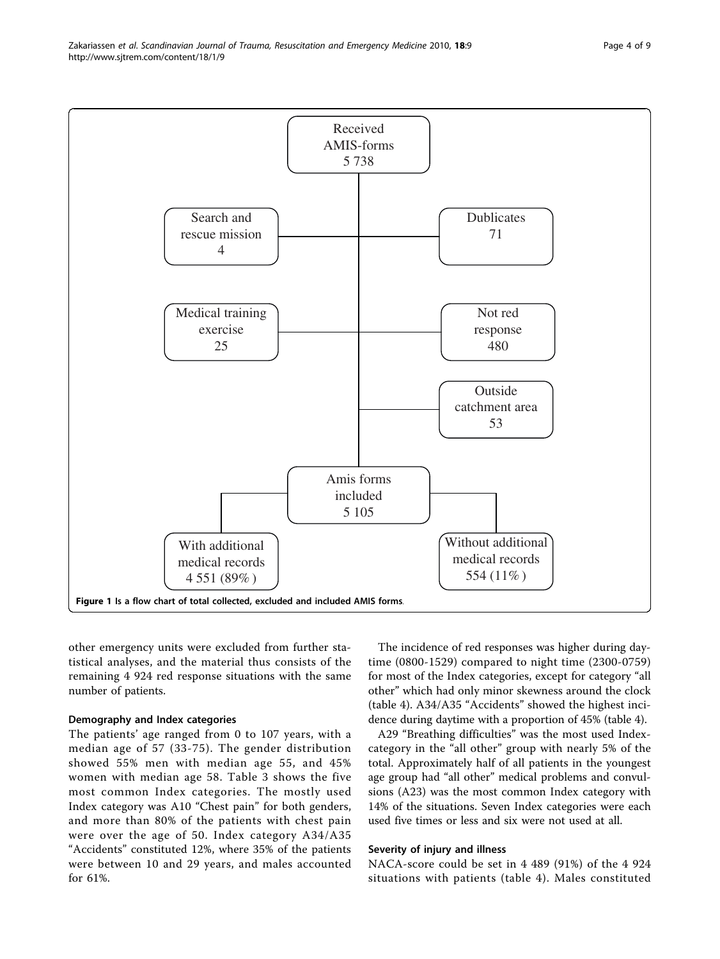<span id="page-3-0"></span>Zakariassen et al. Scandinavian Journal of Trauma, Resuscitation and Emergency Medicine 2010, 18:9 http://www.sjtrem.com/content/18/1/9



other emergency units were excluded from further statistical analyses, and the material thus consists of the remaining 4 924 red response situations with the same number of patients.

# Demography and Index categories

The patients' age ranged from 0 to 107 years, with a median age of 57 (33-75). The gender distribution showed 55% men with median age 55, and 45% women with median age 58. Table [3](#page-4-0) shows the five most common Index categories. The mostly used Index category was A10 "Chest pain" for both genders, and more than 80% of the patients with chest pain were over the age of 50. Index category A34/A35 "Accidents" constituted 12%, where 35% of the patients were between 10 and 29 years, and males accounted for 61%.

The incidence of red responses was higher during daytime (0800-1529) compared to night time (2300-0759) for most of the Index categories, except for category "all other" which had only minor skewness around the clock (table [4](#page-5-0)). A34/A35 "Accidents" showed the highest incidence during daytime with a proportion of 45% (table [4](#page-5-0)).

A29 "Breathing difficulties" was the most used Indexcategory in the "all other" group with nearly 5% of the total. Approximately half of all patients in the youngest age group had "all other" medical problems and convulsions (A23) was the most common Index category with 14% of the situations. Seven Index categories were each used five times or less and six were not used at all.

#### Severity of injury and illness

NACA-score could be set in 4 489 (91%) of the 4 924 situations with patients (table [4\)](#page-5-0). Males constituted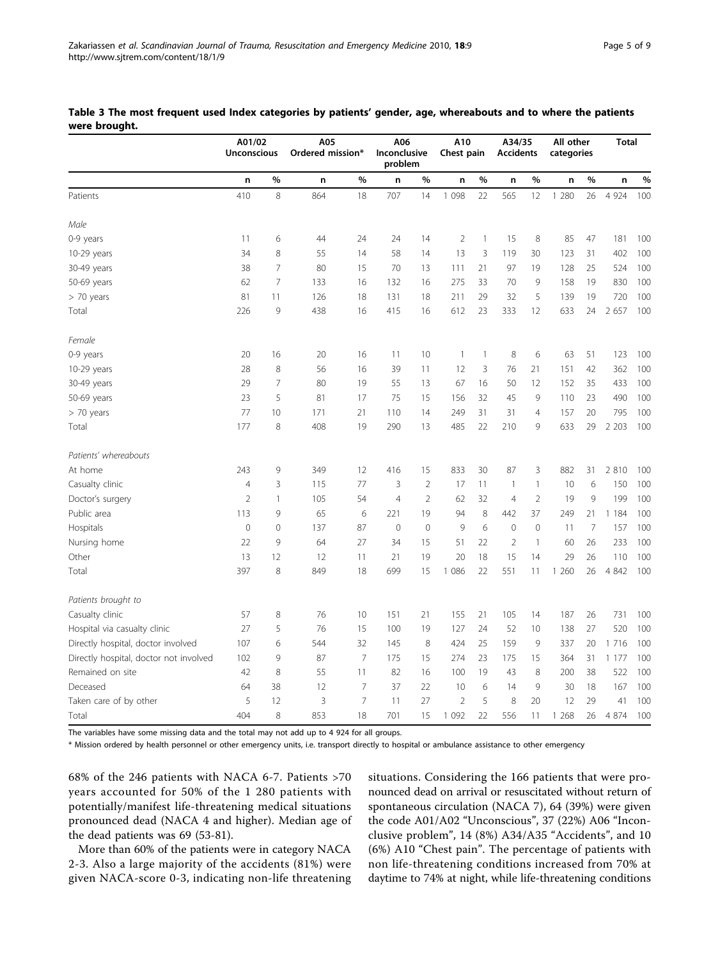|                                        | A01/02<br><b>Unconscious</b> |                | A05<br>Ordered mission* |                | A06<br>Inconclusive<br>problem |                | A10<br>Chest pain |              |                | All other<br>A34/35<br><b>Accidents</b><br>categories |         |                | <b>Total</b> |     |
|----------------------------------------|------------------------------|----------------|-------------------------|----------------|--------------------------------|----------------|-------------------|--------------|----------------|-------------------------------------------------------|---------|----------------|--------------|-----|
|                                        | n                            | $\%$           | n                       | %              | n                              | %              | n                 | %            | n              | $\%$                                                  | n       | %              | n            | %   |
| Patients                               | 410                          | 8              | 864                     | 18             | 707                            | 14             | 1 0 9 8           | 22           | 565            | 12                                                    | 1 2 8 0 | 26             | 4 9 2 4      | 100 |
| Male                                   |                              |                |                         |                |                                |                |                   |              |                |                                                       |         |                |              |     |
| 0-9 years                              | 11                           | 6              | 44                      | 24             | 24                             | 14             | $\overline{2}$    | $\mathbf{1}$ | 15             | 8                                                     | 85      | 47             | 181          | 100 |
| 10-29 years                            | 34                           | 8              | 55                      | 14             | 58                             | 14             | 13                | 3            | 119            | 30                                                    | 123     | 31             | 402          | 100 |
| 30-49 years                            | 38                           | $\overline{7}$ | 80                      | 15             | 70                             | 13             | 111               | 21           | 97             | 19                                                    | 128     | 25             | 524          | 100 |
| 50-69 years                            | 62                           | $\overline{7}$ | 133                     | 16             | 132                            | 16             | 275               | 33           | 70             | $\mathsf 9$                                           | 158     | 19             | 830          | 100 |
| > 70 years                             | 81                           | 11             | 126                     | 18             | 131                            | 18             | 211               | 29           | 32             | 5                                                     | 139     | 19             | 720          | 100 |
| Total                                  | 226                          | 9              | 438                     | 16             | 415                            | 16             | 612               | 23           | 333            | 12                                                    | 633     | 24             | 2 657        | 100 |
| Female                                 |                              |                |                         |                |                                |                |                   |              |                |                                                       |         |                |              |     |
| 0-9 years                              | 20                           | 16             | 20                      | 16             | 11                             | 10             | $\mathbf{1}$      | $\mathbf{1}$ | 8              | 6                                                     | 63      | 51             | 123          | 100 |
| 10-29 years                            | 28                           | 8              | 56                      | 16             | 39                             | 11             | 12                | 3            | 76             | 21                                                    | 151     | 42             | 362          | 100 |
| 30-49 years                            | 29                           | $\overline{7}$ | 80                      | 19             | 55                             | 13             | 67                | 16           | 50             | 12                                                    | 152     | 35             | 433          | 100 |
| 50-69 years                            | 23                           | 5              | 81                      | 17             | 75                             | 15             | 156               | 32           | 45             | 9                                                     | 110     | 23             | 490          | 100 |
| > 70 years                             | 77                           | 10             | 171                     | 21             | 110                            | 14             | 249               | 31           | 31             | $\overline{4}$                                        | 157     | 20             | 795          | 100 |
| Total                                  | 177                          | 8              | 408                     | 19             | 290                            | 13             | 485               | 22           | 210            | 9                                                     | 633     | 29             | 2 2 0 3      | 100 |
| Patients' whereabouts                  |                              |                |                         |                |                                |                |                   |              |                |                                                       |         |                |              |     |
| At home                                | 243                          | 9              | 349                     | 12             | 416                            | 15             | 833               | 30           | 87             | 3                                                     | 882     | 31             | 2 8 1 0      | 100 |
| Casualty clinic                        | $\overline{4}$               | 3              | 115                     | 77             | 3                              | $\overline{2}$ | 17                | 11           | $\mathbf{1}$   | $\mathbf{1}$                                          | 10      | 6              | 150          | 100 |
| Doctor's surgery                       | $\overline{2}$               | 1              | 105                     | 54             | $\overline{4}$                 | $\overline{2}$ | 62                | 32           | $\overline{4}$ | $\overline{2}$                                        | 19      | 9              | 199          | 100 |
| Public area                            | 113                          | 9              | 65                      | 6              | 221                            | 19             | 94                | 8            | 442            | 37                                                    | 249     | 21             | 1 1 8 4      | 100 |
| Hospitals                              | $\mathbf 0$                  | $\mathbf{0}$   | 137                     | 87             | $\mathbf 0$                    | $\mathbf 0$    | 9                 | 6            | $\mathbf 0$    | $\mathbf 0$                                           | 11      | $\overline{7}$ | 157          | 100 |
| Nursing home                           | 22                           | 9              | 64                      | 27             | 34                             | 15             | 51                | 22           | $\overline{2}$ | $\mathbf{1}$                                          | 60      | 26             | 233          | 100 |
| Other                                  | 13                           | 12             | 12                      | 11             | 21                             | 19             | 20                | 18           | 15             | 14                                                    | 29      | 26             | 110          | 100 |
| Total                                  | 397                          | 8              | 849                     | 18             | 699                            | 15             | 1 0 8 6           | 22           | 551            | 11                                                    | 1 260   | 26             | 4 8 4 2      | 100 |
| Patients brought to                    |                              |                |                         |                |                                |                |                   |              |                |                                                       |         |                |              |     |
| Casualty clinic                        | 57                           | 8              | 76                      | 10             | 151                            | 21             | 155               | 21           | 105            | 14                                                    | 187     | 26             | 731          | 100 |
| Hospital via casualty clinic           | 27                           | 5              | 76                      | 15             | 100                            | 19             | 127               | 24           | 52             | 10                                                    | 138     | 27             | 520          | 100 |
| Directly hospital, doctor involved     | 107                          | 6              | 544                     | 32             | 145                            | 8              | 424               | 25           | 159            | 9                                                     | 337     | 20             | 1 7 1 6      | 100 |
| Directly hospital, doctor not involved | 102                          | 9              | 87                      | $\overline{7}$ | 175                            | 15             | 274               | 23           | 175            | 15                                                    | 364     | 31             | 1 1 7 7      | 100 |
| Remained on site                       | 42                           | 8              | 55                      | 11             | 82                             | 16             | 100               | 19           | 43             | 8                                                     | 200     | 38             | 522          | 100 |
| Deceased                               | 64                           | 38             | 12                      | $\overline{7}$ | 37                             | 22             | 10                | 6            | 14             | 9                                                     | 30      | 18             | 167          | 100 |
| Taken care of by other                 | 5                            | 12             | 3                       | $\overline{7}$ | 11                             | 27             | $\overline{2}$    | 5            | 8              | 20                                                    | 12      | 29             | 41           | 100 |
| Total                                  | 404                          | 8              | 853                     | 18             | 701                            | 15             | 1 0 9 2           | 22           | 556            | 11                                                    | 1 268   | 26             | 4 8 7 4      | 100 |

<span id="page-4-0"></span>Table 3 The most frequent used Index categories by patients' gender, age, whereabouts and to where the patients were brought.

The variables have some missing data and the total may not add up to 4 924 for all groups.

\* Mission ordered by health personnel or other emergency units, i.e. transport directly to hospital or ambulance assistance to other emergency

68% of the 246 patients with NACA 6-7. Patients >70 years accounted for 50% of the 1 280 patients with potentially/manifest life-threatening medical situations pronounced dead (NACA 4 and higher). Median age of the dead patients was 69 (53-81).

More than 60% of the patients were in category NACA 2-3. Also a large majority of the accidents (81%) were given NACA-score 0-3, indicating non-life threatening situations. Considering the 166 patients that were pronounced dead on arrival or resuscitated without return of spontaneous circulation (NACA 7), 64 (39%) were given the code A01/A02 "Unconscious", 37 (22%) A06 "Inconclusive problem", 14 (8%) A34/A35 "Accidents", and 10 (6%) A10 "Chest pain". The percentage of patients with non life-threatening conditions increased from 70% at daytime to 74% at night, while life-threatening conditions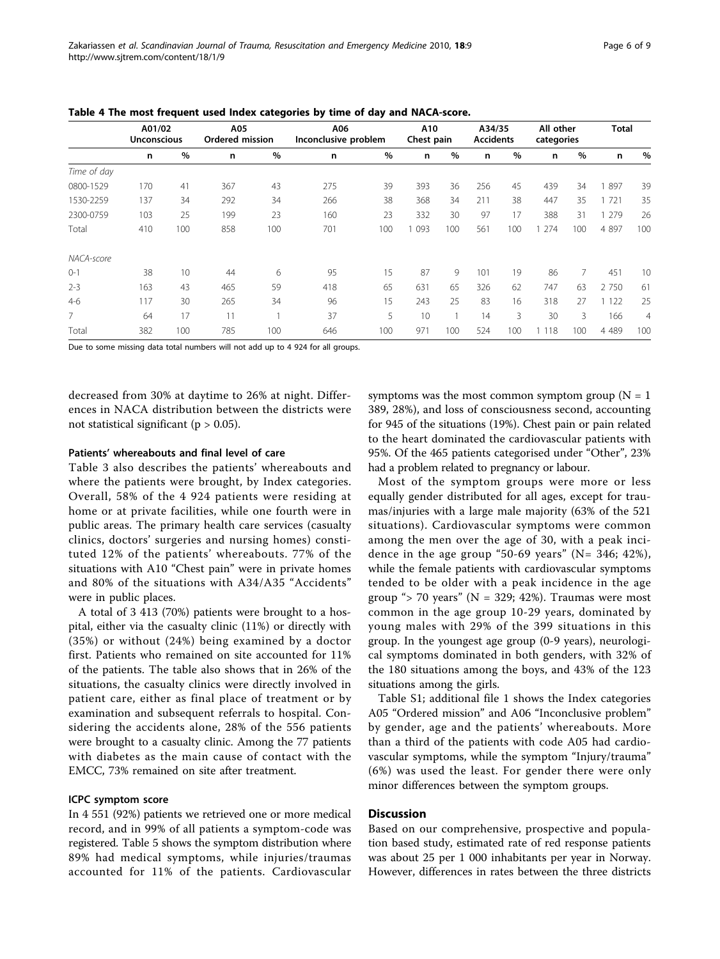|                | A01/02<br><b>Unconscious</b> |     | A05<br>Ordered mission |     | A06<br>Inconclusive problem |      | A10<br>Chest pain |     | A34/35<br><b>Accidents</b> |     | All other<br>categories |     | <b>Total</b> |                |
|----------------|------------------------------|-----|------------------------|-----|-----------------------------|------|-------------------|-----|----------------------------|-----|-------------------------|-----|--------------|----------------|
|                | n                            | %   | n                      | %   | n                           | $\%$ | n                 | %   | n                          | %   | n                       | %   | n            | %              |
| Time of day    |                              |     |                        |     |                             |      |                   |     |                            |     |                         |     |              |                |
| 0800-1529      | 170                          | 41  | 367                    | 43  | 275                         | 39   | 393               | 36  | 256                        | 45  | 439                     | 34  | 897          | 39             |
| 1530-2259      | 137                          | 34  | 292                    | 34  | 266                         | 38   | 368               | 34  | 211                        | 38  | 447                     | 35  | 721          | 35             |
| 2300-0759      | 103                          | 25  | 199                    | 23  | 160                         | 23   | 332               | 30  | 97                         | 17  | 388                     | 31  | 279          | 26             |
| Total          | 410                          | 100 | 858                    | 100 | 701                         | 100  | 093               | 100 | 561                        | 100 | 274                     | 100 | 4 8 9 7      | 100            |
| NACA-score     |                              |     |                        |     |                             |      |                   |     |                            |     |                         |     |              |                |
| $0 - 1$        | 38                           | 10  | 44                     | 6   | 95                          | 15   | 87                | 9   | 101                        | 19  | 86                      | 7   | 451          | 10             |
| $2 - 3$        | 163                          | 43  | 465                    | 59  | 418                         | 65   | 631               | 65  | 326                        | 62  | 747                     | 63  | 2 7 5 0      | 61             |
| $4-6$          | 117                          | 30  | 265                    | 34  | 96                          | 15   | 243               | 25  | 83                         | 16  | 318                     | 27  | 122          | 25             |
| $\overline{7}$ | 64                           | 17  | 11                     |     | 37                          | 5    | 10                | 1   | 14                         | 3   | 30                      | 3   | 166          | $\overline{4}$ |
| Total          | 382                          | 100 | 785                    | 100 | 646                         | 100  | 971               | 100 | 524                        | 100 | 1 1 1 8                 | 100 | 4 4 8 9      | 100            |

<span id="page-5-0"></span>Table 4 The most frequent used Index categories by time of day and NACA-score.

Due to some missing data total numbers will not add up to 4 924 for all groups.

decreased from 30% at daytime to 26% at night. Differences in NACA distribution between the districts were not statistical significant ( $p > 0.05$ ).

#### Patients' whereabouts and final level of care

Table [3](#page-4-0) also describes the patients' whereabouts and where the patients were brought, by Index categories. Overall, 58% of the 4 924 patients were residing at home or at private facilities, while one fourth were in public areas. The primary health care services (casualty clinics, doctors' surgeries and nursing homes) constituted 12% of the patients' whereabouts. 77% of the situations with A10 "Chest pain" were in private homes and 80% of the situations with A34/A35 "Accidents" were in public places.

A total of 3 413 (70%) patients were brought to a hospital, either via the casualty clinic (11%) or directly with (35%) or without (24%) being examined by a doctor first. Patients who remained on site accounted for 11% of the patients. The table also shows that in 26% of the situations, the casualty clinics were directly involved in patient care, either as final place of treatment or by examination and subsequent referrals to hospital. Considering the accidents alone, 28% of the 556 patients were brought to a casualty clinic. Among the 77 patients with diabetes as the main cause of contact with the EMCC, 73% remained on site after treatment.

### ICPC symptom score

In 4 551 (92%) patients we retrieved one or more medical record, and in 99% of all patients a symptom-code was registered. Table [5](#page-6-0) shows the symptom distribution where 89% had medical symptoms, while injuries/traumas accounted for 11% of the patients. Cardiovascular

symptoms was the most common symptom group ( $N = 1$ ) 389, 28%), and loss of consciousness second, accounting for 945 of the situations (19%). Chest pain or pain related to the heart dominated the cardiovascular patients with 95%. Of the 465 patients categorised under "Other", 23% had a problem related to pregnancy or labour.

Most of the symptom groups were more or less equally gender distributed for all ages, except for traumas/injuries with a large male majority (63% of the 521 situations). Cardiovascular symptoms were common among the men over the age of 30, with a peak incidence in the age group "50-69 years" ( $N = 346$ ; 42%), while the female patients with cardiovascular symptoms tended to be older with a peak incidence in the age group "> 70 years" ( $N = 329$ ; 42%). Traumas were most common in the age group 10-29 years, dominated by young males with 29% of the 399 situations in this group. In the youngest age group (0-9 years), neurological symptoms dominated in both genders, with 32% of the 180 situations among the boys, and 43% of the 123 situations among the girls.

Table S1; additional file [1](#page-8-0) shows the Index categories A05 "Ordered mission" and A06 "Inconclusive problem" by gender, age and the patients' whereabouts. More than a third of the patients with code A05 had cardiovascular symptoms, while the symptom "Injury/trauma" (6%) was used the least. For gender there were only minor differences between the symptom groups.

# **Discussion**

Based on our comprehensive, prospective and population based study, estimated rate of red response patients was about 25 per 1 000 inhabitants per year in Norway. However, differences in rates between the three districts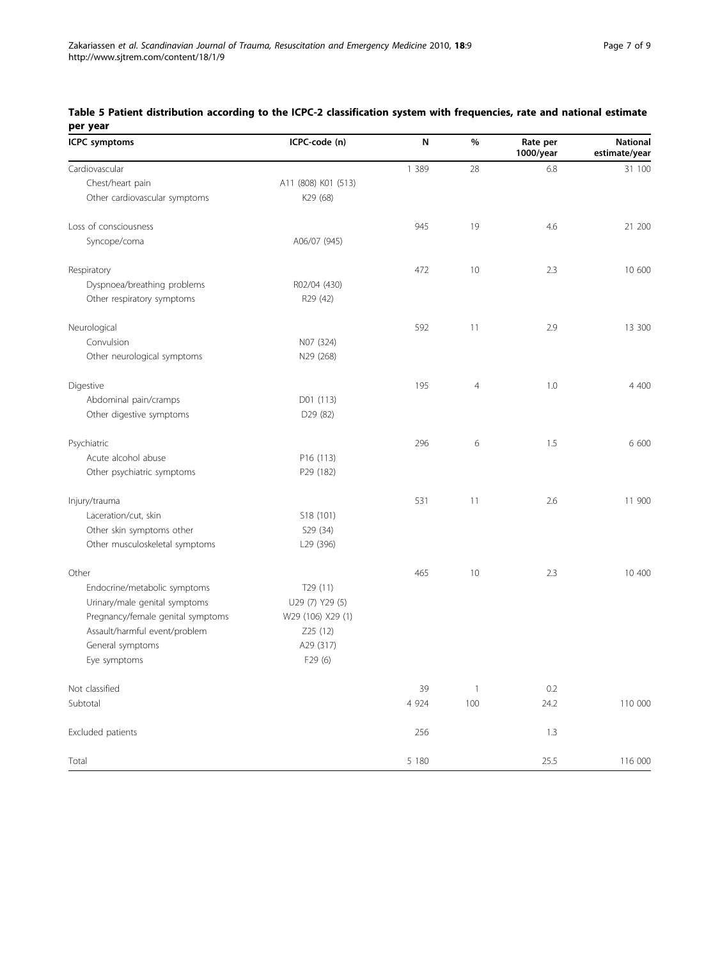| <b>ICPC</b> symptoms              | ICPC-code (n)        | N       | %              | Rate per<br>1000/year | <b>National</b><br>estimate/year |
|-----------------------------------|----------------------|---------|----------------|-----------------------|----------------------------------|
| Cardiovascular                    |                      | 1 3 8 9 | 28             | 6.8                   | 31 100                           |
| Chest/heart pain                  | A11 (808) K01 (513)  |         |                |                       |                                  |
| Other cardiovascular symptoms     | K29 (68)             |         |                |                       |                                  |
| Loss of consciousness             |                      | 945     | 19             | 4.6                   | 21 200                           |
| Syncope/coma                      | A06/07 (945)         |         |                |                       |                                  |
| Respiratory                       |                      | 472     | 10             | 2.3                   | 10 600                           |
| Dyspnoea/breathing problems       | R02/04 (430)         |         |                |                       |                                  |
| Other respiratory symptoms        | R29 (42)             |         |                |                       |                                  |
| Neurological                      |                      | 592     | 11             | 2.9                   | 13 300                           |
| Convulsion                        | N07 (324)            |         |                |                       |                                  |
| Other neurological symptoms       | N29 (268)            |         |                |                       |                                  |
| Digestive                         |                      | 195     | $\overline{4}$ | 1.0                   | 4 400                            |
| Abdominal pain/cramps             | D01 (113)            |         |                |                       |                                  |
| Other digestive symptoms          | D29 (82)             |         |                |                       |                                  |
| Psychiatric                       |                      | 296     | 6              | 1.5                   | 6 600                            |
| Acute alcohol abuse               | P16 (113)            |         |                |                       |                                  |
| Other psychiatric symptoms        | P29 (182)            |         |                |                       |                                  |
| Injury/trauma                     |                      | 531     | 11             | 2.6                   | 11 900                           |
| Laceration/cut, skin              | S18 (101)            |         |                |                       |                                  |
| Other skin symptoms other         | S29 (34)             |         |                |                       |                                  |
| Other musculoskeletal symptoms    | L29 (396)            |         |                |                       |                                  |
| Other                             |                      | 465     | 10             | 2.3                   | 10 400                           |
| Endocrine/metabolic symptoms      | T <sub>29</sub> (11) |         |                |                       |                                  |
| Urinary/male genital symptoms     | U29 (7) Y29 (5)      |         |                |                       |                                  |
| Pregnancy/female genital symptoms | W29 (106) X29 (1)    |         |                |                       |                                  |
| Assault/harmful event/problem     | Z25 (12)             |         |                |                       |                                  |
| General symptoms                  | A29 (317)            |         |                |                       |                                  |
| Eye symptoms                      | F29 (6)              |         |                |                       |                                  |
| Not classified                    |                      | 39      | $\mathbf{1}$   | 0.2                   |                                  |
| Subtotal                          |                      | 4 9 2 4 | 100            | 24.2                  | 110 000                          |
| Excluded patients                 |                      | 256     |                | 1.3                   |                                  |
| Total                             |                      | 5 180   |                | 25.5                  | 116 000                          |

# <span id="page-6-0"></span>Table 5 Patient distribution according to the ICPC-2 classification system with frequencies, rate and national estimate per year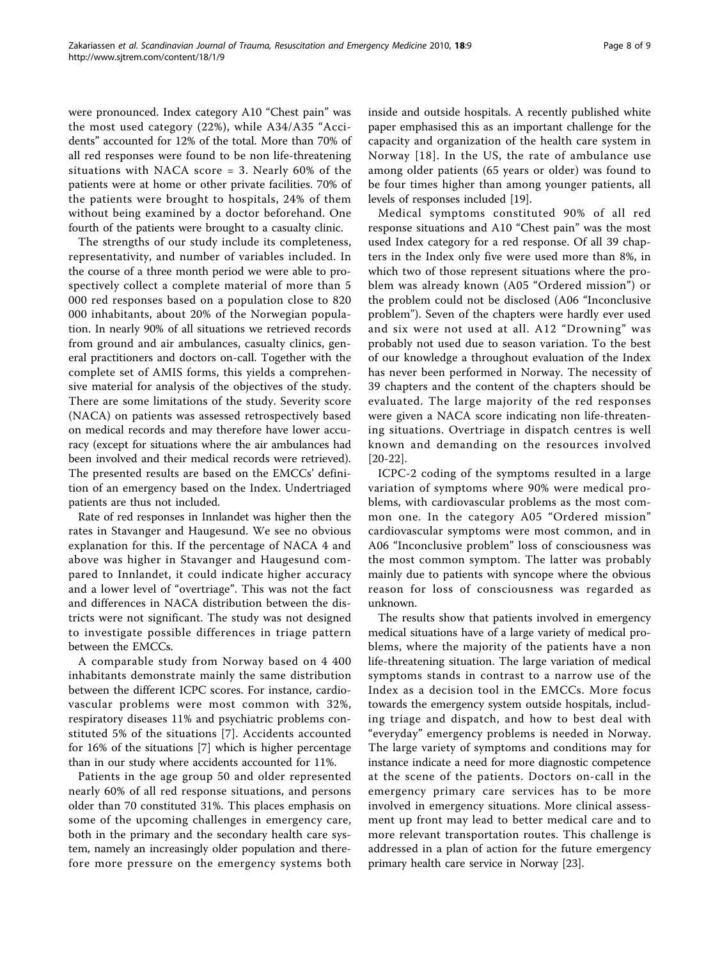were pronounced. Index category A10 "Chest pain" was the most used category (22%), while A34/A35 "Accidents" accounted for 12% of the total. More than 70% of all red responses were found to be non life-threatening situations with NACA score = 3. Nearly 60% of the patients were at home or other private facilities. 70% of the patients were brought to hospitals, 24% of them without being examined by a doctor beforehand. One fourth of the patients were brought to a casualty clinic.

The strengths of our study include its completeness, representativity, and number of variables included. In the course of a three month period we were able to prospectively collect a complete material of more than 5 000 red responses based on a population close to 820 000 inhabitants, about 20% of the Norwegian population. In nearly 90% of all situations we retrieved records from ground and air ambulances, casualty clinics, general practitioners and doctors on-call. Together with the complete set of AMIS forms, this yields a comprehensive material for analysis of the objectives of the study. There are some limitations of the study. Severity score (NACA) on patients was assessed retrospectively based on medical records and may therefore have lower accuracy (except for situations where the air ambulances had been involved and their medical records were retrieved). The presented results are based on the EMCCs' definition of an emergency based on the Index. Undertriaged patients are thus not included.

Rate of red responses in Innlandet was higher then the rates in Stavanger and Haugesund. We see no obvious explanation for this. If the percentage of NACA 4 and above was higher in Stavanger and Haugesund compared to Innlandet, it could indicate higher accuracy and a lower level of "overtriage". This was not the fact and differences in NACA distribution between the districts were not significant. The study was not designed to investigate possible differences in triage pattern between the EMCCs.

A comparable study from Norway based on 4 400 inhabitants demonstrate mainly the same distribution between the different ICPC scores. For instance, cardiovascular problems were most common with 32%, respiratory diseases 11% and psychiatric problems constituted 5% of the situations [\[7\]](#page-8-0). Accidents accounted for 16% of the situations [[7\]](#page-8-0) which is higher percentage than in our study where accidents accounted for 11%.

Patients in the age group 50 and older represented nearly 60% of all red response situations, and persons older than 70 constituted 31%. This places emphasis on some of the upcoming challenges in emergency care, both in the primary and the secondary health care system, namely an increasingly older population and therefore more pressure on the emergency systems both inside and outside hospitals. A recently published white paper emphasised this as an important challenge for the capacity and organization of the health care system in Norway [[18\]](#page-8-0). In the US, the rate of ambulance use among older patients (65 years or older) was found to be four times higher than among younger patients, all levels of responses included [\[19\]](#page-8-0).

Medical symptoms constituted 90% of all red response situations and A10 "Chest pain" was the most used Index category for a red response. Of all 39 chapters in the Index only five were used more than 8%, in which two of those represent situations where the problem was already known (A05 "Ordered mission") or the problem could not be disclosed (A06 "Inconclusive problem"). Seven of the chapters were hardly ever used and six were not used at all. A12 "Drowning" was probably not used due to season variation. To the best of our knowledge a throughout evaluation of the Index has never been performed in Norway. The necessity of 39 chapters and the content of the chapters should be evaluated. The large majority of the red responses were given a NACA score indicating non life-threatening situations. Overtriage in dispatch centres is well known and demanding on the resources involved [[20-22\]](#page-8-0).

ICPC-2 coding of the symptoms resulted in a large variation of symptoms where 90% were medical problems, with cardiovascular problems as the most common one. In the category A05 "Ordered mission" cardiovascular symptoms were most common, and in A06 "Inconclusive problem" loss of consciousness was the most common symptom. The latter was probably mainly due to patients with syncope where the obvious reason for loss of consciousness was regarded as unknown.

The results show that patients involved in emergency medical situations have of a large variety of medical problems, where the majority of the patients have a non life-threatening situation. The large variation of medical symptoms stands in contrast to a narrow use of the Index as a decision tool in the EMCCs. More focus towards the emergency system outside hospitals, including triage and dispatch, and how to best deal with "everyday" emergency problems is needed in Norway. The large variety of symptoms and conditions may for instance indicate a need for more diagnostic competence at the scene of the patients. Doctors on-call in the emergency primary care services has to be more involved in emergency situations. More clinical assessment up front may lead to better medical care and to more relevant transportation routes. This challenge is addressed in a plan of action for the future emergency primary health care service in Norway [\[23](#page-8-0)].